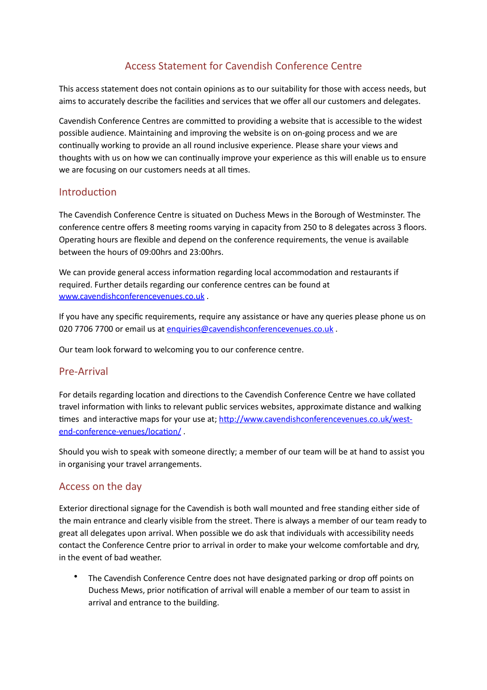# Access Statement for Cavendish Conference Centre

This access statement does not contain opinions as to our suitability for those with access needs, but aims to accurately describe the facilities and services that we offer all our customers and delegates.

Cavendish Conference Centres are committed to providing a website that is accessible to the widest possible audience. Maintaining and improving the website is on on-going process and we are continually working to provide an all round inclusive experience. Please share your views and thoughts with us on how we can continually improve your experience as this will enable us to ensure we are focusing on our customers needs at all times.

### Introduction

The Cavendish Conference Centre is situated on Duchess Mews in the Borough of Westminster. The conference centre offers 8 meeting rooms varying in capacity from 250 to 8 delegates across 3 floors. Operating hours are flexible and depend on the conference requirements, the venue is available between the hours of 09:00hrs and 23:00hrs.

We can provide general access information regarding local accommodation and restaurants if required. Further details regarding our conference centres can be found at www.cavendishconferencevenues.co.uk.

If you have any specific requirements, require any assistance or have any queries please phone us on 020 7706 7700 or email us at [enquiries@cavendishconferencevenues.co.uk](mailto:enquiries@cavendishconferencevenues.co.uk).

Our team look forward to welcoming you to our conference centre.

#### Pre-Arrival

For details regarding location and directions to the Cavendish Conference Centre we have collated travel information with links to relevant public services websites, approximate distance and walking times and interactive maps for your use at; http://www.cavendishconferencevenues.co.uk/westend-conference-venues/location/

Should you wish to speak with someone directly; a member of our team will be at hand to assist you in organising your travel arrangements.

# Access on the day

Exterior directional signage for the Cavendish is both wall mounted and free standing either side of the main entrance and clearly visible from the street. There is always a member of our team ready to great all delegates upon arrival. When possible we do ask that individuals with accessibility needs contact the Conference Centre prior to arrival in order to make your welcome comfortable and dry, in the event of bad weather.

The Cavendish Conference Centre does not have designated parking or drop off points on Duchess Mews, prior notification of arrival will enable a member of our team to assist in arrival and entrance to the building.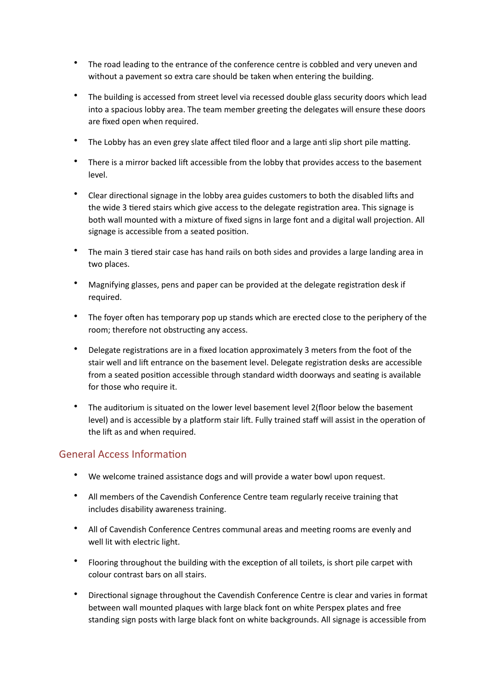- The road leading to the entrance of the conference centre is cobbled and very uneven and without a pavement so extra care should be taken when entering the building.
- The building is accessed from street level via recessed double glass security doors which lead into a spacious lobby area. The team member greeting the delegates will ensure these doors are fixed open when required.
- The Lobby has an even grey slate affect tiled floor and a large anti slip short pile matting.
- There is a mirror backed lift accessible from the lobby that provides access to the basement level.
- Clear directional signage in the lobby area guides customers to both the disabled lifts and the wide 3 tiered stairs which give access to the delegate registration area. This signage is both wall mounted with a mixture of fixed signs in large font and a digital wall projection. All signage is accessible from a seated position.
- The main 3 tiered stair case has hand rails on both sides and provides a large landing area in two places.
- Magnifying glasses, pens and paper can be provided at the delegate registration desk if required.
- The foyer often has temporary pop up stands which are erected close to the periphery of the room; therefore not obstructing any access.
- Delegate registrations are in a fixed location approximately 3 meters from the foot of the stair well and lift entrance on the basement level. Delegate registration desks are accessible from a seated position accessible through standard width doorways and seating is available for those who require it.
- The auditorium is situated on the lower level basement level 2(floor below the basement level) and is accessible by a platform stair lift. Fully trained staff will assist in the operation of the lift as and when required.

# General Access Information

- We welcome trained assistance dogs and will provide a water bowl upon request.
- All members of the Cavendish Conference Centre team regularly receive training that includes disability awareness training.
- All of Cavendish Conference Centres communal areas and meeting rooms are evenly and well lit with electric light.
- Flooring throughout the building with the exception of all toilets, is short pile carpet with colour contrast bars on all stairs.
- Directional signage throughout the Cavendish Conference Centre is clear and varies in format between wall mounted plaques with large black font on white Perspex plates and free standing sign posts with large black font on white backgrounds. All signage is accessible from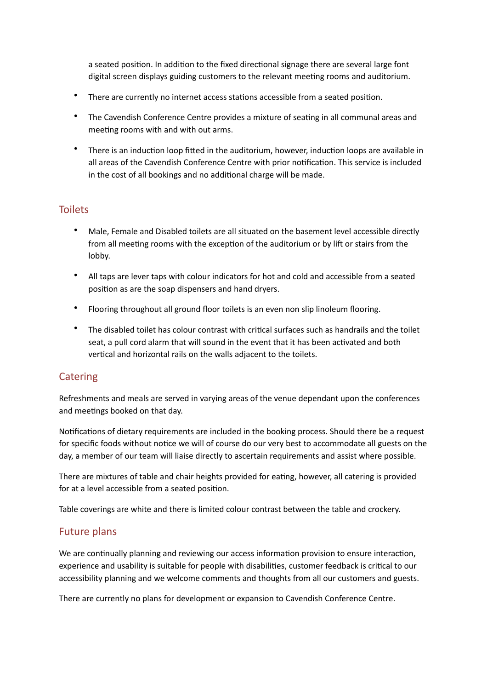a seated position. In addition to the fixed directional signage there are several large font digital screen displays guiding customers to the relevant meeting rooms and auditorium.

- There are currently no internet access stations accessible from a seated position.
- The Cavendish Conference Centre provides a mixture of seating in all communal areas and meeting rooms with and with out arms.
- There is an induction loop fitted in the auditorium, however, induction loops are available in all areas of the Cavendish Conference Centre with prior notification. This service is included in the cost of all bookings and no additional charge will be made.

# **Toilets**

- Male, Female and Disabled toilets are all situated on the basement level accessible directly from all meeting rooms with the exception of the auditorium or by lift or stairs from the lobby.
- All taps are lever taps with colour indicators for hot and cold and accessible from a seated position as are the soap dispensers and hand dryers.
- Flooring throughout all ground floor toilets is an even non slip linoleum flooring.
- The disabled toilet has colour contrast with critical surfaces such as handrails and the toilet seat, a pull cord alarm that will sound in the event that it has been activated and both vertical and horizontal rails on the walls adjacent to the toilets.

# **Catering**

Refreshments and meals are served in varying areas of the venue dependant upon the conferences and meetings booked on that day.

Notifications of dietary requirements are included in the booking process. Should there be a request for specific foods without notice we will of course do our very best to accommodate all guests on the day, a member of our team will liaise directly to ascertain requirements and assist where possible.

There are mixtures of table and chair heights provided for eating, however, all catering is provided for at a level accessible from a seated position.

Table coverings are white and there is limited colour contrast between the table and crockery.

# **Future plans**

We are continually planning and reviewing our access information provision to ensure interaction, experience and usability is suitable for people with disabilities, customer feedback is critical to our accessibility planning and we welcome comments and thoughts from all our customers and guests.

There are currently no plans for development or expansion to Cavendish Conference Centre.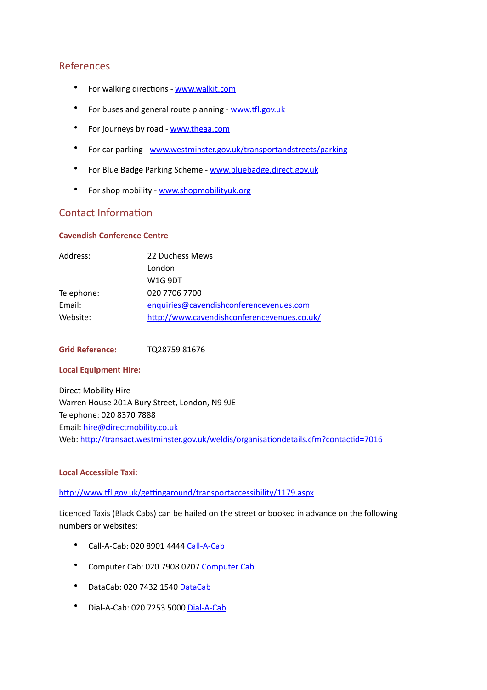# References

- For walking directions [www.walkit.com](http://www.walkit.com)
- For buses and general route planning www.tfl.gov.uk
- For journeys by road [www.theaa.com](http://www.theaa.com)
- For car parking [www.westminster.gov.uk/transportandstreets/parking](http://www.westminster.gov.uk/transportandstreets/parking)
- For Blue Badge Parking Scheme www.bluebadge.direct.gov.uk
- For shop mobility www.shopmobilityuk.org

### Contact Information

#### **Cavendish Conference Centre**

| Address:   | 22 Duchess Mews                             |
|------------|---------------------------------------------|
|            | London                                      |
|            | W1G 9DT                                     |
| Telephone: | 020 7706 7700                               |
| Email:     | enquiries@cavendishconferencevenues.com     |
| Website:   | http://www.cavendishconferencevenues.co.uk/ |

**Grid Reference:** TQ28759 81676

#### **Local Equipment Hire:**

Direct Mobility Hire Warren House 201A Bury Street, London, N9 9JE Telephone: 020 8370 7888 Email: [hire@directmobility.co.uk](mailto:hire@directmobility.co.uk) Web: http://transact.westminster.gov.uk/weldis/organisationdetails.cfm?contactid=7016

#### **Local Accessible Taxi:**

http://www.tfl.gov.uk/gettingaround/transportaccessibility/1179.aspx

Licenced Taxis (Black Cabs) can be hailed on the street or booked in advance on the following numbers or websites:

- Call-A-Cab: 020 8901 4444 Call-A-Cab
- Computer Cab: 020 7908 0207 Computer Cab
- [DataCab](http://www.datacablondon.co.uk): 020 7432 1540 DataCab
- Dial-A-Cab: 020 7253 5000 Dial-A-Cab